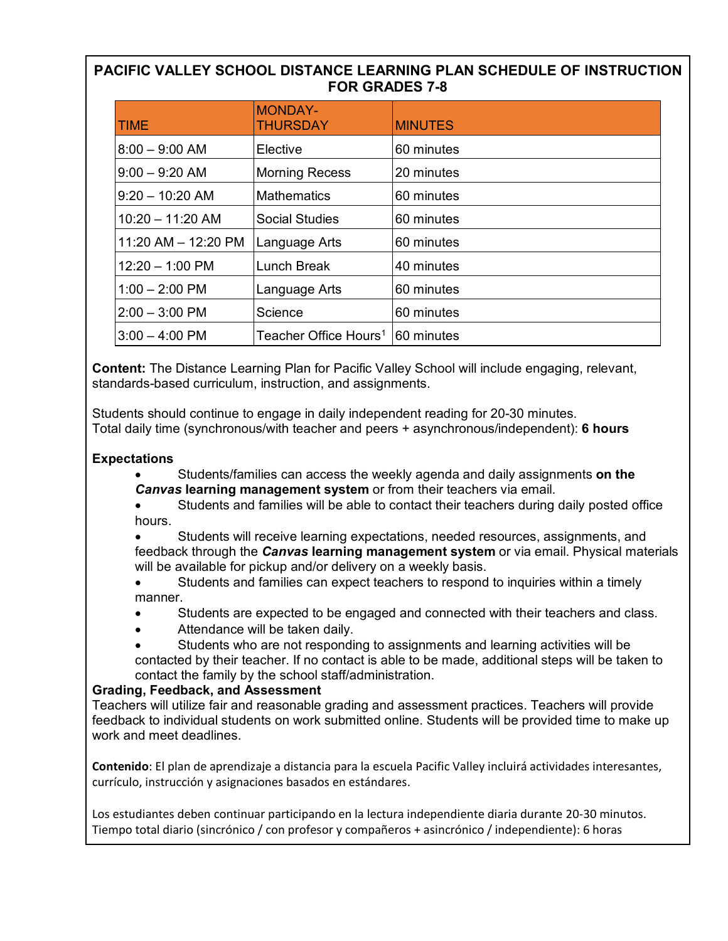# **PACIFIC VALLEY SCHOOL DISTANCE LEARNING PLAN SCHEDULE OF INSTRUCTION FOR GRADES 7-8**

| <b>TIME</b>               | <b>MONDAY-</b><br><b>THURSDAY</b> | <b>MINUTES</b> |
|---------------------------|-----------------------------------|----------------|
| $8:00 - 9:00$ AM          | Elective                          | 60 minutes     |
| $9:00 - 9:20$ AM          | <b>Morning Recess</b>             | 20 minutes     |
| $9:20 - 10:20$ AM         | <b>Mathematics</b>                | 60 minutes     |
| $10:20 - 11:20$ AM        | Social Studies                    | 60 minutes     |
| 11:20 AM $-$ 12:20 PM     | Language Arts                     | 60 minutes     |
| $12:20 - 1:00 \text{ PM}$ | Lunch Break                       | 40 minutes     |
| $1:00 - 2:00$ PM          | Language Arts                     | 60 minutes     |
| $2:00 - 3:00$ PM          | Science                           | 60 minutes     |
| $3:00 - 4:00$ PM          | Teacher Office Hours <sup>1</sup> | 60 minutes     |

**Content:** The Distance Learning Plan for Pacific Valley School will include engaging, relevant, standards-based curriculum, instruction, and assignments.

Students should continue to engage in daily independent reading for 20-30 minutes. Total daily time (synchronous/with teacher and peers + asynchronous/independent): **6 hours**

## **Expectations**

- Students/families can access the weekly agenda and daily assignments **on the**  *Canvas* **learning management system** or from their teachers via email.
- Students and families will be able to contact their teachers during daily posted office hours.

• Students will receive learning expectations, needed resources, assignments, and feedback through the *Canvas* **learning management system** or via email. Physical materials will be available for pickup and/or delivery on a weekly basis.

- Students and families can expect teachers to respond to inquiries within a timely manner.
- Students are expected to be engaged and connected with their teachers and class.
- Attendance will be taken daily.
- Students who are not responding to assignments and learning activities will be

contacted by their teacher. If no contact is able to be made, additional steps will be taken to contact the family by the school staff/administration.

### **Grading, Feedback, and Assessment**

Teachers will utilize fair and reasonable grading and assessment practices. Teachers will provide feedback to individual students on work submitted online. Students will be provided time to make up work and meet deadlines.

**Contenido**: El plan de aprendizaje a distancia para la escuela Pacific Valley incluirá actividades interesantes, currículo, instrucción y asignaciones basados en estándares.

<span id="page-0-0"></span>Los estudiantes deben continuar participando en la lectura independiente diaria durante 20-30 minutos. Tiempo total diario (sincrónico / con profesor y compañeros + asincrónico / independiente): 6 horas